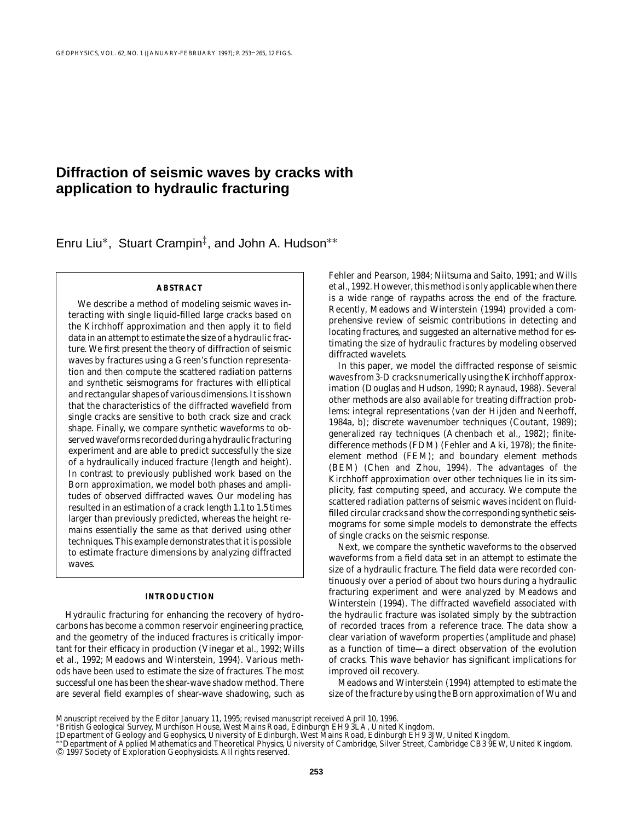# **Diffraction of seismic waves by cracks with application to hydraulic fracturing**

Enru Liu∗, Stuart Crampin‡, and John A. Hudson∗∗

# **ABSTRACT**

We describe a method of modeling seismic waves interacting with single liquid-filled large cracks based on the Kirchhoff approximation and then apply it to field data in an attempt to estimate the size of a hydraulic fracture. We first present the theory of diffraction of seismic waves by fractures using a Green's function representation and then compute the scattered radiation patterns and synthetic seismograms for fractures with elliptical and rectangular shapes of various dimensions. It is shown that the characteristics of the diffracted wavefield from single cracks are sensitive to both crack size and crack shape. Finally, we compare synthetic waveforms to observed waveforms recorded during a hydraulic fracturing experiment and are able to predict successfully the size of a hydraulically induced fracture (length and height). In contrast to previously published work based on the Born approximation, we model both phases and amplitudes of observed diffracted waves. Our modeling has resulted in an estimation of a crack length 1.1 to 1.5 times larger than previously predicted, whereas the height remains essentially the same as that derived using other techniques. This example demonstrates that it is possible to estimate fracture dimensions by analyzing diffracted waves.

#### **INTRODUCTION**

Hydraulic fracturing for enhancing the recovery of hydrocarbons has become a common reservoir engineering practice, and the geometry of the induced fractures is critically important for their efficacy in production (Vinegar et al., 1992; Wills et al., 1992; Meadows and Winterstein, 1994). Various methods have been used to estimate the size of fractures. The most successful one has been the shear-wave shadow method. There are several field examples of shear-wave shadowing, such as Fehler and Pearson, 1984; Niitsuma and Saito, 1991; and Wills et al., 1992. However, this method is only applicable when there is a wide range of raypaths across the end of the fracture. Recently, Meadows and Winterstein (1994) provided a comprehensive review of seismic contributions in detecting and locating fractures, and suggested an alternative method for estimating the size of hydraulic fractures by modeling observed diffracted wavelets.

In this paper, we model the diffracted response of seismic waves from 3-D cracks numerically using the Kirchhoff approximation (Douglas and Hudson, 1990; Raynaud, 1988). Several other methods are also available for treating diffraction problems: integral representations (van der Hijden and Neerhoff, 1984a, b); discrete wavenumber techniques (Coutant, 1989); generalized ray techniques (Achenbach et al., 1982); finitedifference methods (FDM) (Fehler and Aki, 1978); the finiteelement method (FEM); and boundary element methods (BEM) (Chen and Zhou, 1994). The advantages of the Kirchhoff approximation over other techniques lie in its simplicity, fast computing speed, and accuracy. We compute the scattered radiation patterns of seismic waves incident on fluidfilled circular cracks and show the corresponding synthetic seismograms for some simple models to demonstrate the effects of single cracks on the seismic response.

Next, we compare the synthetic waveforms to the observed waveforms from a field data set in an attempt to estimate the size of a hydraulic fracture. The field data were recorded continuously over a period of about two hours during a hydraulic fracturing experiment and were analyzed by Meadows and Winterstein (1994). The diffracted wavefield associated with the hydraulic fracture was isolated simply by the subtraction of recorded traces from a reference trace. The data show a clear variation of waveform properties (amplitude and phase) as a function of time—a direct observation of the evolution of cracks. This wave behavior has significant implications for improved oil recovery.

Meadows and Winterstein (1994) attempted to estimate the size of the fracture by using the Born approximation of Wu and

Manuscript received by the Editor January 11, 1995; revised manuscript received April 10, 1996.

<sup>∗</sup>British Geological Survey, Murchison House, West Mains Road, Edinburgh EH9 3LA, United Kingdom.

<sup>‡</sup>Department of Geology and Geophysics, University of Edinburgh, West Mains Road, Edinburgh EH9 3JW, United Kingdom.<br>\*\*Department of Applied Mathematics and Theoretical Physics, University of Cambridge, Silver Street, Cambr © 1997 Society of Exploration Geophysicists. All rights reserved.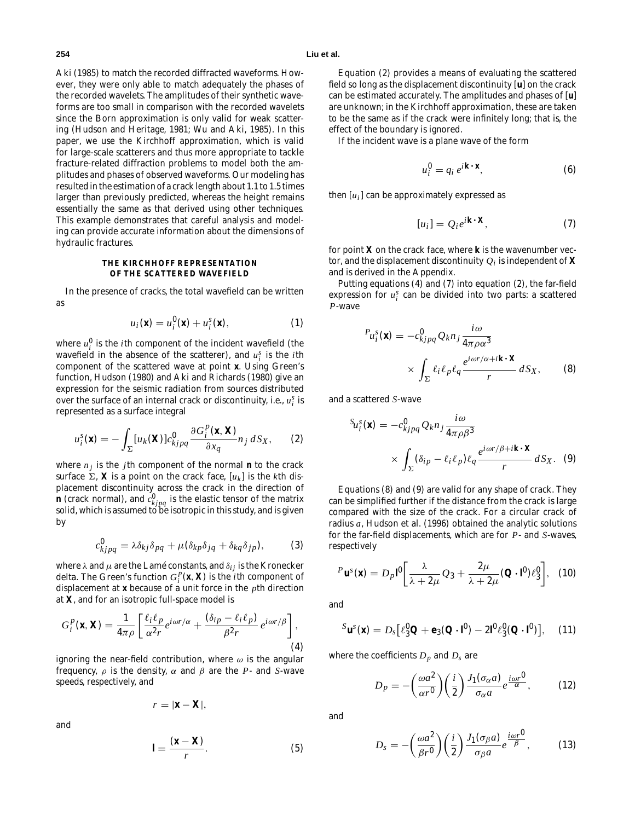Aki (1985) to match the recorded diffracted waveforms. However, they were only able to match adequately the phases of the recorded wavelets. The amplitudes of their synthetic waveforms are too small in comparison with the recorded wavelets since the Born approximation is only valid for weak scattering (Hudson and Heritage, 1981; Wu and Aki, 1985). In this paper, we use the Kirchhoff approximation, which is valid for large-scale scatterers and thus more appropriate to tackle fracture-related diffraction problems to model both the amplitudes and phases of observed waveforms. Our modeling has resulted in the estimation of a crack length about 1.1 to 1.5 times larger than previously predicted, whereas the height remains essentially the same as that derived using other techniques. This example demonstrates that careful analysis and modeling can provide accurate information about the dimensions of hydraulic fractures.

# **THE KIRCHHOFF REPRESENTATION OF THE SCATTERED WAVEFIELD**

In the presence of cracks, the total wavefield can be written as

$$
u_i(\mathbf{x}) = u_i^0(\mathbf{x}) + u_i^s(\mathbf{x}), \qquad (1)
$$

where  $u_i^0$  is the *i*th component of the incident wavefield (the wavefield in the absence of the scatterer), and  $u_i^s$  is the *i*th component of the scattered wave at point **x**. Using Green's function, Hudson (1980) and Aki and Richards (1980) give an expression for the seismic radiation from sources distributed over the surface of an internal crack or discontinuity, i.e., *u<sup>s</sup> <sup>i</sup>* is represented as a surface integral

$$
u_i^s(\mathbf{x}) = -\int_{\Sigma} [u_k(\mathbf{X})] c_{kjpq}^0 \frac{\partial G_i^p(\mathbf{x}, \mathbf{X})}{\partial x_q} n_j dS_X, \qquad (2)
$$

where  $n_i$  is the *j*th component of the normal **n** to the crack surface  $\Sigma$ , **X** is a point on the crack face,  $[u_k]$  is the *k*th displacement discontinuity across the crack in the direction of **n** (crack normal), and  $c^0_{kjpq}$  is the elastic tensor of the matrix solid, which is assumed to be isotropic in this study, and is given by

$$
c_{kjpq}^0 = \lambda \delta_{kj} \delta_{pq} + \mu (\delta_{kp} \delta_{jq} + \delta_{kq} \delta_{jp}), \qquad (3)
$$

where  $\lambda$  and  $\mu$  are the Lamé constants, and  $\delta_{ij}$  is the Kronecker delta. The Green's function  $G_i^p(\mathbf{x}, \mathbf{X})$  is the *i*th component of displacement at **x** because of a unit force in the *p*th direction at **X**, and for an isotropic full-space model is

$$
G_i^p(\mathbf{x}, \mathbf{X}) = \frac{1}{4\pi\rho} \left[ \frac{\ell_i \ell_p}{\alpha^2 r} e^{i\omega r/\alpha} + \frac{(\delta_{ip} - \ell_i \ell_p)}{\beta^2 r} e^{i\omega r/\beta} \right],
$$
\n(4)

ignoring the near-field contribution, where  $\omega$  is the angular frequency, ρ is the density, α and β are the *P*- and *S*-wave speeds, respectively, and

$$
r=|\mathbf{x}-\mathbf{X}|,
$$

and

$$
\mathbf{l} = \frac{(\mathbf{x} - \mathbf{X})}{r}.
$$
 (5)

Equation (2) provides a means of evaluating the scattered field so long as the displacement discontinuity [**u**] on the crack can be estimated accurately. The amplitudes and phases of [**u**] are unknown; in the Kirchhoff approximation, these are taken to be the same as if the crack were infinitely long; that is, the effect of the boundary is ignored.

If the incident wave is a plane wave of the form

$$
u_i^0 = q_i e^{i\mathbf{k} \cdot \mathbf{x}},\tag{6}
$$

then  $[u_i]$  can be approximately expressed as

$$
[u_i] = Q_i e^{i\mathbf{k} \cdot \mathbf{X}},\tag{7}
$$

for point **X** on the crack face, where **k** is the wavenumber vector, and the displacement discontinuity  $Q_i$  is independent of **X** and is derived in the Appendix.

Putting equations (4) and (7) into equation (2), the far-field expression for  $u_i^s$  can be divided into two parts: a scattered *P*-wave

$$
P_{u_i^S}(\mathbf{x}) = -c_{kjpq}^0 Q_k n_j \frac{i\omega}{4\pi \rho \alpha^3}
$$

$$
\times \int_{\Sigma} \ell_i \ell_p \ell_q \frac{e^{i\omega r/\alpha + i\mathbf{k} \cdot \mathbf{X}}}{r} dS_X, \qquad (8)
$$

and a scattered *S*-wave

$$
S_{u_i^S}(\mathbf{x}) = -c_{kjpq}^0 Q_k n_j \frac{i\omega}{4\pi \rho \beta^3}
$$

$$
\times \int_{\Sigma} (\delta_{ip} - \ell_i \ell_p) \ell_q \frac{e^{i\omega r/\beta + i\mathbf{k} \cdot \mathbf{X}}}{r} dS_X. \quad (9)
$$

Equations (8) and (9) are valid for any shape of crack. They can be simplified further if the distance from the crack is large compared with the size of the crack. For a circular crack of radius *a*, Hudson et al. (1996) obtained the analytic solutions for the far-field displacements, which are for *P*- and *S*-waves, respectively

$$
P \mathbf{u}^{s}(\mathbf{x}) = D_{p} \mathbf{I}^{0} \left[ \frac{\lambda}{\lambda + 2\mu} Q_{3} + \frac{2\mu}{\lambda + 2\mu} (\mathbf{Q} \cdot \mathbf{I}^{0}) \ell_{3}^{0} \right], \quad (10)
$$

and

$$
{}^{S}\mathbf{u}^{s}(\mathbf{x})=D_{s}[\ell_{3}^{0}\mathbf{Q}+\mathbf{e}_{3}(\mathbf{Q}\cdot\mathbf{l}^{0})-2\mathbf{l}^{0}\ell_{3}^{0}(\mathbf{Q}\cdot\mathbf{l}^{0})],\quad(11)
$$

where the coefficients  $D_p$  and  $D_s$  are

$$
D_p = -\left(\frac{\omega a^2}{\alpha r^0}\right) \left(\frac{i}{2}\right) \frac{J_1(\sigma_\alpha a)}{\sigma_\alpha a} e^{\frac{i\omega r^0}{\alpha}},\tag{12}
$$

and

$$
D_s = -\left(\frac{\omega a^2}{\beta r^0}\right) \left(\frac{i}{2}\right) \frac{J_1(\sigma_\beta a)}{\sigma_\beta a} e^{\frac{i\omega r^0}{\beta}},\tag{13}
$$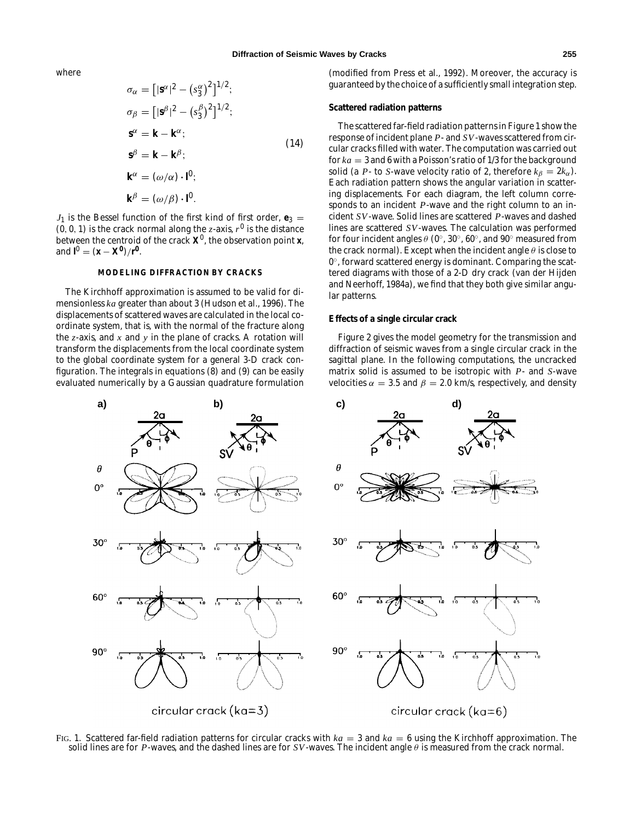where

$$
\sigma_{\alpha} = [|\mathbf{s}^{\alpha}|^2 - (s_3^{\alpha})^2]^{1/2};
$$
  
\n
$$
\sigma_{\beta} = [|\mathbf{s}^{\beta}|^2 - (s_3^{\beta})^2]^{1/2};
$$
  
\n
$$
\mathbf{s}^{\alpha} = \mathbf{k} - \mathbf{k}^{\alpha};
$$
  
\n
$$
\mathbf{s}^{\beta} = \mathbf{k} - \mathbf{k}^{\beta};
$$
  
\n
$$
\mathbf{k}^{\alpha} = (\omega/\alpha) \cdot \mathbf{l}^0;
$$
  
\n
$$
\mathbf{k}^{\beta} = (\omega/\beta) \cdot \mathbf{l}^0.
$$
  
\n(14)

 $J_1$  is the Bessel function of the first kind of first order,  $\mathbf{e}_3$  =  $(0, 0, 1)$  is the crack normal along the *z*-axis,  $r^0$  is the distance between the centroid of the crack  $\mathbf{X}^0$ , the observation point **x**, and  $I^0 = (x - X^0)/r^0$ .

# **MODELING DIFFRACTION BY CRACKS**

The Kirchhoff approximation is assumed to be valid for dimensionless *ka* greater than about 3 (Hudson et al., 1996). The displacements of scattered waves are calculated in the local coordinate system, that is, with the normal of the fracture along the *z*-axis, and *x* and *y* in the plane of cracks. A rotation will transform the displacements from the local coordinate system to the global coordinate system for a general 3-D crack configuration. The integrals in equations (8) and (9) can be easily evaluated numerically by a Gaussian quadrature formulation

(modified from Press et al., 1992). Moreover, the accuracy is guaranteed by the choice of a sufficiently small integration step.

#### **Scattered radiation patterns**

The scattered far-field radiation patterns in Figure 1 show the response of incident plane *P*- and *SV*-waves scattered from circular cracks filled with water. The computation was carried out for *ka* = 3 and 6 with a Poisson's ratio of 1/3 for the background solid (a *P*- to *S*-wave velocity ratio of 2, therefore  $k_{\beta} = 2k_{\alpha}$ ). Each radiation pattern shows the angular variation in scattering displacements. For each diagram, the left column corresponds to an incident *P*-wave and the right column to an incident *SV*-wave. Solid lines are scattered *P*-waves and dashed lines are scattered *SV*-waves. The calculation was performed for four incident angles  $\theta$  (0°, 30°, 60°, and 90° measured from the crack normal). Except when the incident angle  $\theta$  is close to 0◦, forward scattered energy is dominant. Comparing the scattered diagrams with those of a 2-D dry crack (van der Hijden and Neerhoff, 1984a), we find that they both give similar angular patterns.

# **Effects of a single circular crack**

Figure 2 gives the model geometry for the transmission and diffraction of seismic waves from a single circular crack in the sagittal plane. In the following computations, the uncracked matrix solid is assumed to be isotropic with *P*- and *S*-wave velocities  $\alpha = 3.5$  and  $\beta = 2.0$  km/s, respectively, and density



FIG. 1. Scattered far-field radiation patterns for circular cracks with *ka* = 3 and *ka* = 6 using the Kirchhoff approximation. The solid lines are for *P*-waves, and the dashed lines are for *SV*-waves. The incident angle  $\theta$  is measured from the crack normal.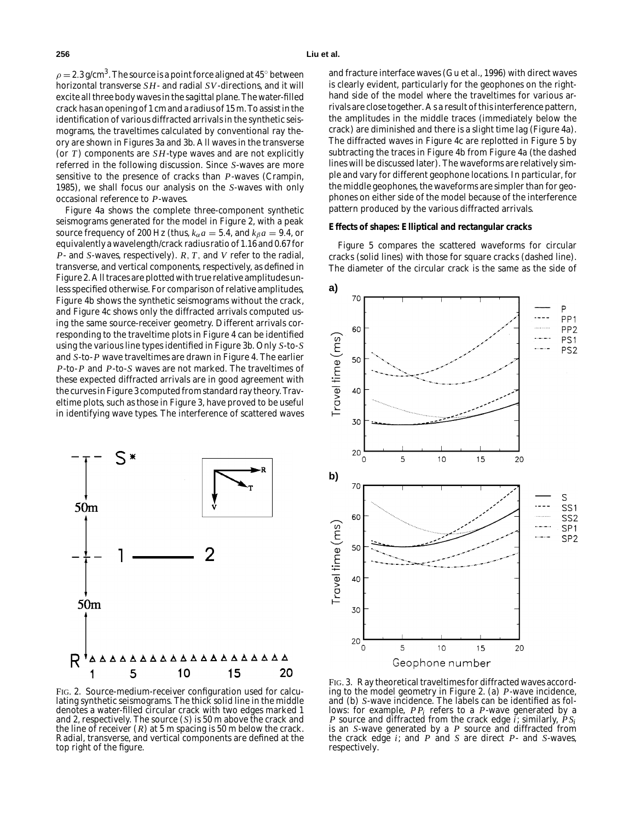$\rho = 2.3$  g/cm<sup>3</sup>. The source is a point force aligned at 45° between horizontal transverse *SH*- and radial *SV*-directions, and it will excite all three body waves in the sagittal plane. The water-filled crack has an opening of 1 cm and a radius of 15 m. To assist in the identification of various diffracted arrivals in the synthetic seismograms, the traveltimes calculated by conventional ray theory are shown in Figures 3a and 3b. All waves in the transverse (or *T* ) components are *SH*-type waves and are not explicitly referred in the following discussion. Since *S*-waves are more sensitive to the presence of cracks than *P*-waves (Crampin, 1985), we shall focus our analysis on the *S*-waves with only occasional reference to *P*-waves.

Figure 4a shows the complete three-component synthetic seismograms generated for the model in Figure 2, with a peak source frequency of 200 Hz (thus,  $k_{\alpha}a = 5.4$ , and  $k_{\beta}a = 9.4$ , or equivalently a wavelength/crack radius ratio of 1.16 and 0.67 for *P*- and *S*-waves, respectively). *R*, *T*, and *V* refer to the radial, transverse, and vertical components, respectively, as defined in Figure 2. All traces are plotted with true relative amplitudes unless specified otherwise. For comparison of relative amplitudes, Figure 4b shows the synthetic seismograms without the crack, and Figure 4c shows only the diffracted arrivals computed using the same source-receiver geometry. Different arrivals corresponding to the traveltime plots in Figure 4 can be identified using the various line types identified in Figure 3b. Only *S*-to-*S* and *S*-to-*P* wave traveltimes are drawn in Figure 4. The earlier *P*-to-*P* and *P*-to-*S* waves are not marked. The traveltimes of these expected diffracted arrivals are in good agreement with the curves in Figure 3 computed from standard ray theory. Traveltime plots, such as those in Figure 3, have proved to be useful in identifying wave types. The interference of scattered waves



and fracture interface waves (Gu et al., 1996) with direct waves is clearly evident, particularly for the geophones on the righthand side of the model where the traveltimes for various arrivals are close together. As a result of this interference pattern, the amplitudes in the middle traces (immediately below the crack) are diminished and there is a slight time lag (Figure 4a). The diffracted waves in Figure 4c are replotted in Figure 5 by subtracting the traces in Figure 4b from Figure 4a (the dashed lines will be discussed later). The waveforms are relatively simple and vary for different geophone locations. In particular, for the middle geophones, the waveforms are simpler than for geophones on either side of the model because of the interference pattern produced by the various diffracted arrivals.

#### **Effects of shapes: Elliptical and rectangular cracks**

Figure 5 compares the scattered waveforms for circular cracks (solid lines) with those for square cracks (dashed line). The diameter of the circular crack is the same as the side of



FIG. 2. Source-medium-receiver configuration used for calculating synthetic seismograms. The thick solid line in the middle denotes a water-filled circular crack with two edges marked 1 and 2, respectively. The source (*S*) is 50 m above the crack and the line of receiver (*R*) at 5 m spacing is 50 m below the crack. Radial, transverse, and vertical components are defined at the top right of the figure.

FIG. 3. Ray theoretical traveltimes for diffracted waves according to the model geometry in Figure 2. (a) *P*-wave incidence, and (b) *S*-wave incidence. The labels can be identified as follows: for example, *P Pi* refers to a *P*-wave generated by a *P* source and diffracted from the crack edge *i*; similarly, *P Si* is an *S*-wave generated by a *P* source and diffracted from the crack edge *i*; and *P* and *S* are direct *P*- and *S*-waves, respectively.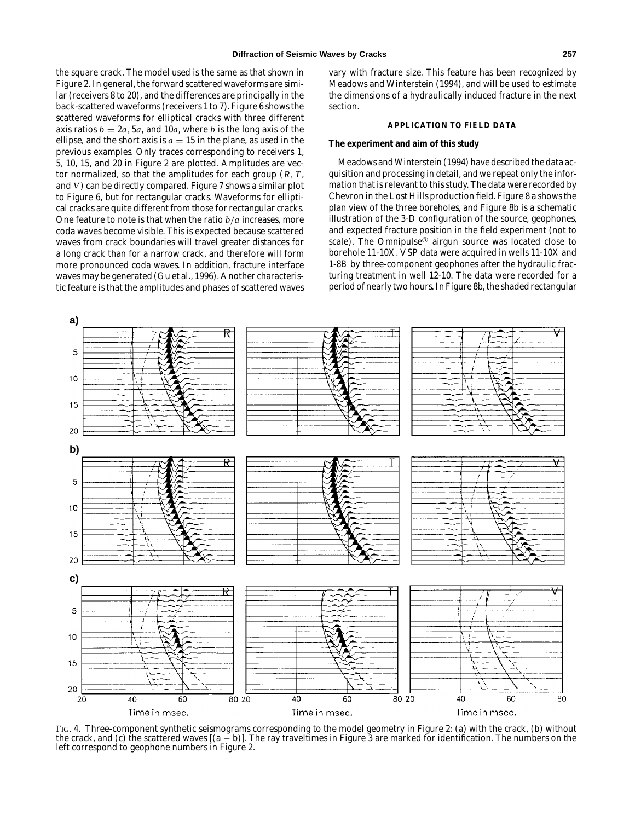the square crack. The model used is the same as that shown in Figure 2. In general, the forward scattered waveforms are similar (receivers 8 to 20), and the differences are principally in the back-scattered waveforms (receivers 1 to 7). Figure 6 shows the scattered waveforms for elliptical cracks with three different axis ratios  $b = 2a$ , 5*a*, and 10*a*, where *b* is the long axis of the ellipse, and the short axis is  $a = 15$  in the plane, as used in the previous examples. Only traces corresponding to receivers 1, 5, 10, 15, and 20 in Figure 2 are plotted. Amplitudes are vector normalized, so that the amplitudes for each group (*R*, *T* , and *V*) can be directly compared. Figure 7 shows a similar plot to Figure 6, but for rectangular cracks. Waveforms for elliptical cracks are quite different from those for rectangular cracks. One feature to note is that when the ratio *b*/*a* increases, more coda waves become visible. This is expected because scattered waves from crack boundaries will travel greater distances for a long crack than for a narrow crack, and therefore will form more pronounced coda waves. In addition, fracture interface waves may be generated (Gu et al., 1996). Another characteristic feature is that the amplitudes and phases of scattered waves vary with fracture size. This feature has been recognized by Meadows and Winterstein (1994), and will be used to estimate the dimensions of a hydraulically induced fracture in the next section.

# **APPLICATION TO FIELD DATA**

#### **The experiment and aim of this study**

Meadows and Winterstein (1994) have described the data acquisition and processing in detail, and we repeat only the information that is relevant to this study. The data were recorded by Chevron in the Lost Hills production field. Figure 8 a shows the plan view of the three boreholes, and Figure 8b is a schematic illustration of the 3-D configuration of the source, geophones, and expected fracture position in the field experiment (not to scale). The Omnipulse<sup>®</sup> airgun source was located close to borehole 11-10X. VSP data were acquired in wells 11-10X and 1-8B by three-component geophones after the hydraulic fracturing treatment in well 12-10. The data were recorded for a period of nearly two hours. In Figure 8b, the shaded rectangular



FIG. 4. Three-component synthetic seismograms corresponding to the model geometry in Figure 2: (a) with the crack, (b) without the crack, and (c) the scattered waves  $[(a - b)]$ . The ray traveltimes in Figure 3 are marked for identification. The numbers on the left correspond to geophone numbers in Figure 2.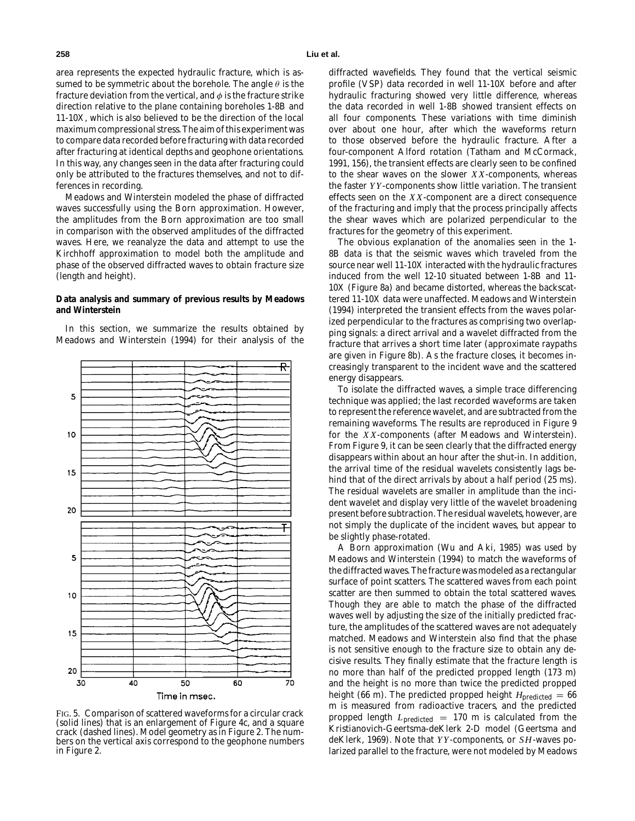area represents the expected hydraulic fracture, which is assumed to be symmetric about the borehole. The angle  $\theta$  is the fracture deviation from the vertical, and  $\phi$  is the fracture strike direction relative to the plane containing boreholes 1-8B and 11-10X, which is also believed to be the direction of the local maximum compressional stress. The aim of this experiment was to compare data recorded before fracturing with data recorded after fracturing at identical depths and geophone orientations. In this way, any changes seen in the data after fracturing could only be attributed to the fractures themselves, and not to differences in recording.

Meadows and Winterstein modeled the phase of diffracted waves successfully using the Born approximation. However, the amplitudes from the Born approximation are too small in comparison with the observed amplitudes of the diffracted waves. Here, we reanalyze the data and attempt to use the Kirchhoff approximation to model both the amplitude and phase of the observed diffracted waves to obtain fracture size (length and height).

### **Data analysis and summary of previous results by Meadows and Winterstein**

In this section, we summarize the results obtained by Meadows and Winterstein (1994) for their analysis of the



FIG. 5. Comparison of scattered waveforms for a circular crack (solid lines) that is an enlargement of Figure 4c, and a square crack (dashed lines). Model geometry as in Figure 2. The numbers on the vertical axis correspond to the geophone numbers in Figure 2.

diffracted wavefields. They found that the vertical seismic profile (VSP) data recorded in well 11-10X before and after hydraulic fracturing showed very little difference, whereas the data recorded in well 1-8B showed transient effects on all four components. These variations with time diminish over about one hour, after which the waveforms return to those observed before the hydraulic fracture. After a four-component Alford rotation (Tatham and McCormack, 1991, 156), the transient effects are clearly seen to be confined to the shear waves on the slower *X X*-components, whereas the faster *Y Y* -components show little variation. The transient effects seen on the *X X*-component are a direct consequence of the fracturing and imply that the process principally affects the shear waves which are polarized perpendicular to the fractures for the geometry of this experiment.

The obvious explanation of the anomalies seen in the 1- 8B data is that the seismic waves which traveled from the source near well 11-10X interacted with the hydraulic fractures induced from the well 12-10 situated between 1-8B and 11- 10X (Figure 8a) and became distorted, whereas the backscattered 11-10X data were unaffected. Meadows and Winterstein (1994) interpreted the transient effects from the waves polarized perpendicular to the fractures as comprising two overlapping signals: a direct arrival and a wavelet diffracted from the fracture that arrives a short time later (approximate raypaths are given in Figure 8b). As the fracture closes, it becomes increasingly transparent to the incident wave and the scattered energy disappears.

To isolate the diffracted waves, a simple trace differencing technique was applied; the last recorded waveforms are taken to represent the reference wavelet, and are subtracted from the remaining waveforms. The results are reproduced in Figure 9 for the *X X*-components (after Meadows and Winterstein). From Figure 9, it can be seen clearly that the diffracted energy disappears within about an hour after the shut-in. In addition, the arrival time of the residual wavelets consistently lags behind that of the direct arrivals by about a half period (25 ms). The residual wavelets are smaller in amplitude than the incident wavelet and display very little of the wavelet broadening present before subtraction. The residual wavelets, however, are not simply the duplicate of the incident waves, but appear to be slightly phase-rotated.

A Born approximation (Wu and Aki, 1985) was used by Meadows and Winterstein (1994) to match the waveforms of the diffracted waves. The fracture was modeled as a rectangular surface of point scatters. The scattered waves from each point scatter are then summed to obtain the total scattered waves. Though they are able to match the phase of the diffracted waves well by adjusting the size of the initially predicted fracture, the amplitudes of the scattered waves are not adequately matched. Meadows and Winterstein also find that the phase is not sensitive enough to the fracture size to obtain any decisive results. They finally estimate that the fracture length is no more than half of the predicted propped length (173 m) and the height is no more than twice the predicted propped height (66 m). The predicted propped height  $H_{\text{predicted}} = 66$ m is measured from radioactive tracers, and the predicted propped length *L*predicted = 170 m is calculated from the Kristianovich-Geertsma-deKlerk 2-D model (Geertsma and deKlerk, 1969). Note that *Y Y* -components, or *SH*-waves polarized parallel to the fracture, were not modeled by Meadows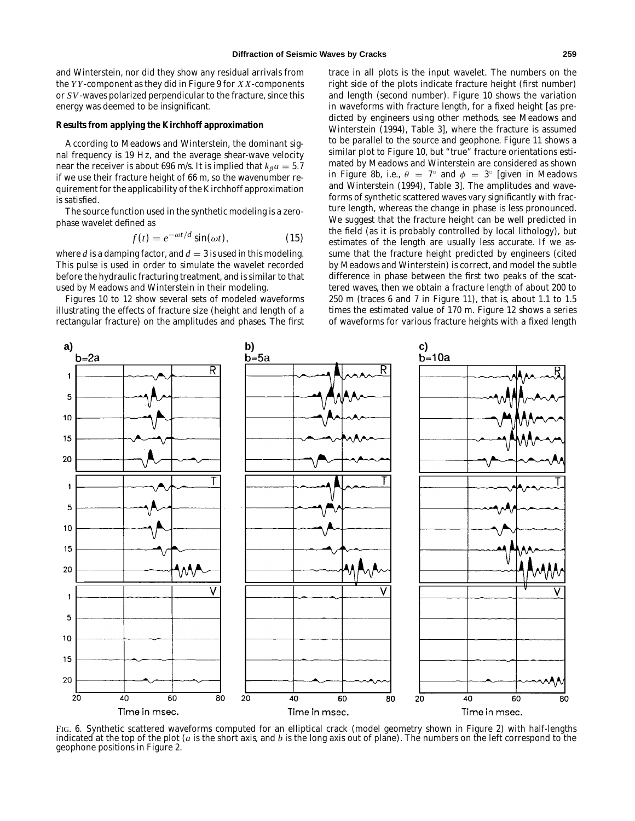and Winterstein, nor did they show any residual arrivals from the *Y Y* -component as they did in Figure 9 for *X X*-components or *SV*-waves polarized perpendicular to the fracture, since this energy was deemed to be insignificant.

# **Results from applying the Kirchhoff approximation**

According to Meadows and Winterstein, the dominant signal frequency is 19 Hz, and the average shear-wave velocity near the receiver is about 696 m/s. It is implied that  $k_{\beta}a = 5.7$ if we use their fracture height of 66 m, so the wavenumber requirement for the applicability of the Kirchhoff approximation is satisfied.

The source function used in the synthetic modeling is a zerophase wavelet defined as

$$
f(t) = e^{-\omega t/d} \sin(\omega t), \qquad (15)
$$

where *d* is a damping factor, and  $d = 3$  is used in this modeling. This pulse is used in order to simulate the wavelet recorded before the hydraulic fracturing treatment, and is similar to that used by Meadows and Winterstein in their modeling.

Figures 10 to 12 show several sets of modeled waveforms illustrating the effects of fracture size (height and length of a rectangular fracture) on the amplitudes and phases. The first trace in all plots is the input wavelet. The numbers on the right side of the plots indicate fracture height (first number) and length (second number). Figure 10 shows the variation in waveforms with fracture length, for a fixed height [as predicted by engineers using other methods, see Meadows and Winterstein (1994), Table 3], where the fracture is assumed to be parallel to the source and geophone. Figure 11 shows a similar plot to Figure 10, but "true" fracture orientations estimated by Meadows and Winterstein are considered as shown in Figure 8b, i.e.,  $\theta = 7^\circ$  and  $\phi = 3^\circ$  [given in Meadows and Winterstein (1994), Table 3]. The amplitudes and waveforms of synthetic scattered waves vary significantly with fracture length, whereas the change in phase is less pronounced. We suggest that the fracture height can be well predicted in the field (as it is probably controlled by local lithology), but estimates of the length are usually less accurate. If we assume that the fracture height predicted by engineers (cited by Meadows and Winterstein) is correct, and model the subtle difference in phase between the first two peaks of the scattered waves, then we obtain a fracture length of about 200 to 250 m (traces 6 and 7 in Figure 11), that is, about 1.1 to 1.5 times the estimated value of 170 m. Figure 12 shows a series of waveforms for various fracture heights with a fixed length



FIG. 6. Synthetic scattered waveforms computed for an elliptical crack (model geometry shown in Figure 2) with half-lengths indicated at the top of the plot (*a* is the short axis, and *b* is the long axis out of plane). The numbers on the left correspond to the geophone positions in Figure 2.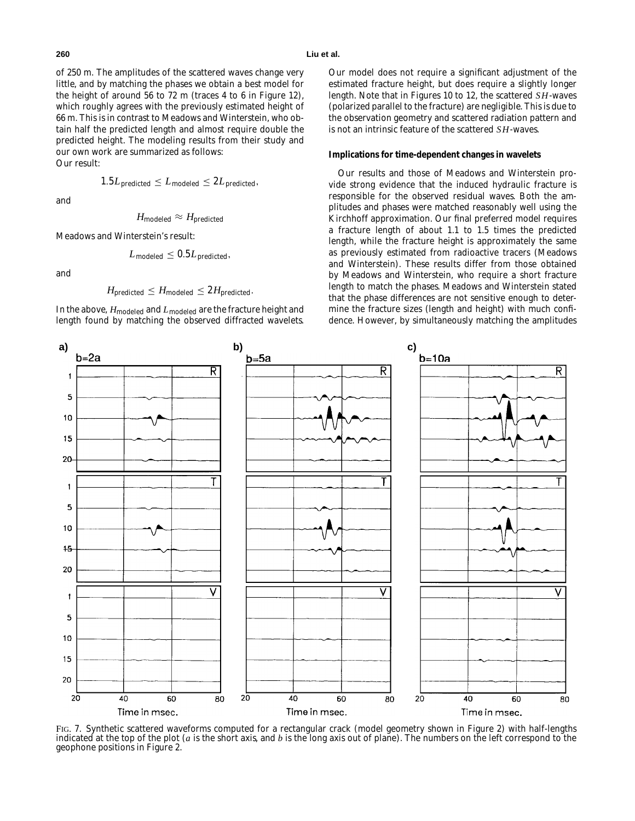of 250 m. The amplitudes of the scattered waves change very little, and by matching the phases we obtain a best model for the height of around 56 to 72 m (traces 4 to 6 in Figure 12), which roughly agrees with the previously estimated height of 66 m. This is in contrast to Meadows and Winterstein, who obtain half the predicted length and almost require double the predicted height. The modeling results from their study and our own work are summarized as follows: Our result:

and

$$
H_{\rm modeled} \approx H_{\rm predicted}
$$

 $1.5L_{\text{predicted}} \leq L_{\text{modeled}} \leq 2L_{\text{predicted}}$ 

Meadows and Winterstein's result:

$$
L_{\rm modeled}\leq 0.5 L_{\rm predicted},
$$

and

$$
H_{\text{predicted}} \leq H_{\text{modeled}} \leq 2 H_{\text{predicted}}.
$$

In the above,  $H_{\rm modeled}$  and  $L_{\rm modeled}$  are the fracture height and length found by matching the observed diffracted wavelets.

**a) b) c)**

 $\overline{\mathsf{R}}$ 

Our model does not require a significant adjustment of the estimated fracture height, but does require a slightly longer length. Note that in Figures 10 to 12, the scattered *SH*-waves (polarized parallel to the fracture) are negligible. This is due to the observation geometry and scattered radiation pattern and is not an intrinsic feature of the scattered *SH*-waves.

# **Implications for time-dependent changes in wavelets**

Our results and those of Meadows and Winterstein provide strong evidence that the induced hydraulic fracture is responsible for the observed residual waves. Both the amplitudes and phases were matched reasonably well using the Kirchhoff approximation. Our final preferred model requires a fracture length of about 1.1 to 1.5 times the predicted length, while the fracture height is approximately the same as previously estimated from radioactive tracers (Meadows and Winterstein). These results differ from those obtained by Meadows and Winterstein, who require a short fracture length to match the phases. Meadows and Winterstein stated that the phase differences are not sensitive enough to determine the fracture sizes (length and height) with much confidence. However, by simultaneously matching the amplitudes

 $b = 10a$ 

Ŕ

R



indicated at the top of the plot (*a* is the short axis, and *b* is the long axis out of plane). The numbers on the left correspond to the geophone positions in Figure 2.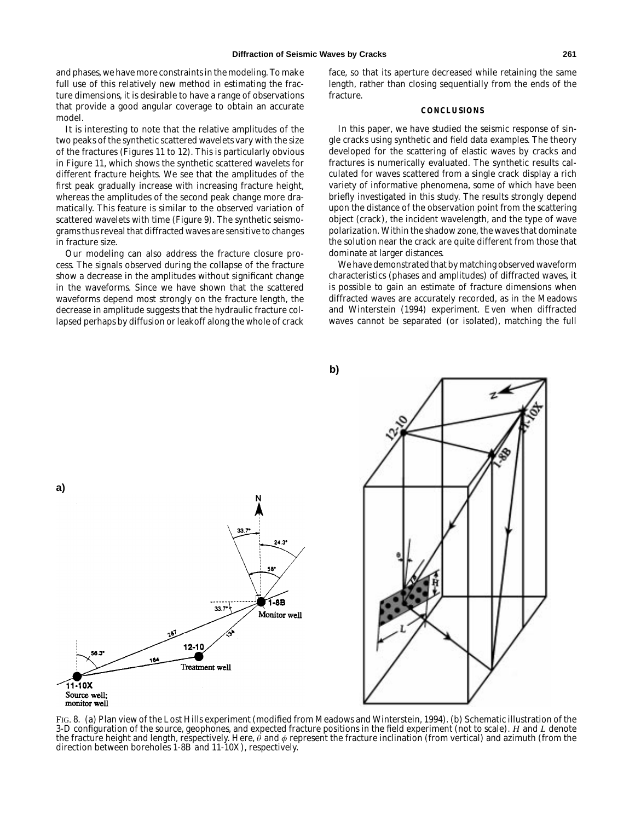and phases, we have more constraints in the modeling. To make full use of this relatively new method in estimating the fracture dimensions, it is desirable to have a range of observations that provide a good angular coverage to obtain an accurate model.

It is interesting to note that the relative amplitudes of the two peaks of the synthetic scattered wavelets vary with the size of the fractures (Figures 11 to 12). This is particularly obvious in Figure 11, which shows the synthetic scattered wavelets for different fracture heights. We see that the amplitudes of the first peak gradually increase with increasing fracture height, whereas the amplitudes of the second peak change more dramatically. This feature is similar to the observed variation of scattered wavelets with time (Figure 9). The synthetic seismograms thus reveal that diffracted waves are sensitive to changes in fracture size.

Our modeling can also address the fracture closure process. The signals observed during the collapse of the fracture show a decrease in the amplitudes without significant change in the waveforms. Since we have shown that the scattered waveforms depend most strongly on the fracture length, the decrease in amplitude suggests that the hydraulic fracture collapsed perhaps by diffusion or leakoff along the whole of crack face, so that its aperture decreased while retaining the same length, rather than closing sequentially from the ends of the fracture.

# **CONCLUSIONS**

In this paper, we have studied the seismic response of single cracks using synthetic and field data examples. The theory developed for the scattering of elastic waves by cracks and fractures is numerically evaluated. The synthetic results calculated for waves scattered from a single crack display a rich variety of informative phenomena, some of which have been briefly investigated in this study. The results strongly depend upon the distance of the observation point from the scattering object (crack), the incident wavelength, and the type of wave polarization. Within the shadow zone, the waves that dominate the solution near the crack are quite different from those that dominate at larger distances.

We have demonstrated that by matching observed waveform characteristics (phases and amplitudes) of diffracted waves, it is possible to gain an estimate of fracture dimensions when diffracted waves are accurately recorded, as in the Meadows and Winterstein (1994) experiment. Even when diffracted waves cannot be separated (or isolated), matching the full

**b)**



FIG. 8. (a) Plan view of the Lost Hills experiment (modified from Meadows and Winterstein, 1994). (b) Schematic illustration of the 3-D configuration of the source, geophones, and expected fracture positions in the field experiment (not to scale). *H* and *L* denote the fracture height and length, respectively. Here,  $\theta$  and  $\phi$  represent the fracture inclination (from vertical) and azimuth (from the direction between boreholes 1-8B and 11-10X), respectively.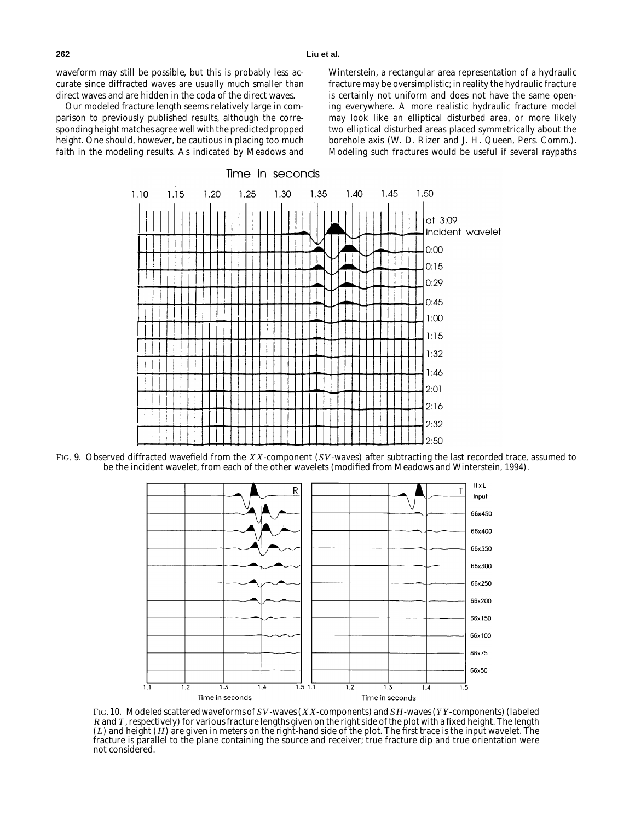waveform may still be possible, but this is probably less accurate since diffracted waves are usually much smaller than direct waves and are hidden in the coda of the direct waves.

Our modeled fracture length seems relatively large in comparison to previously published results, although the corresponding height matches agree well with the predicted propped height. One should, however, be cautious in placing too much faith in the modeling results. As indicated by Meadows and Winterstein, a rectangular area representation of a hydraulic fracture may be oversimplistic; in reality the hydraulic fracture is certainly not uniform and does not have the same opening everywhere. A more realistic hydraulic fracture model may look like an elliptical disturbed area, or more likely two elliptical disturbed areas placed symmetrically about the borehole axis (W. D. Rizer and J. H. Queen, Pers. Comm.). Modeling such fractures would be useful if several raypaths



FIG. 9. Observed diffracted wavefield from the *X X*-component (*SV*-waves) after subtracting the last recorded trace, assumed to be the incident wavelet, from each of the other wavelets (modified from Meadows and Winterstein, 1994).



FIG. 10. Modeled scattered waveforms of *SV*-waves (*X X*-components) and *SH*-waves (*Y Y* -components) (labeled *R* and *T* , respectively) for various fracture lengths given on the right side of the plot with a fixed height. The length (*L*) and height (*H*) are given in meters on the right-hand side of the plot. The first trace is the input wavelet. The fracture is parallel to the plane containing the source and receiver; true fracture dip and true orientation were not considered.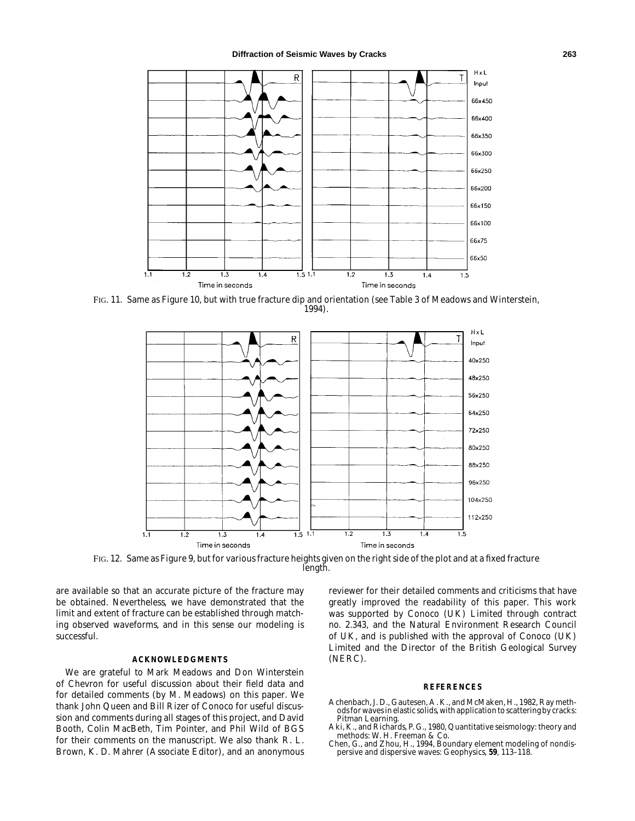

FIG. 11. Same as Figure 10, but with true fracture dip and orientation (see Table 3 of Meadows and Winterstein, 1994).



FIG. 12. Same as Figure 9, but for various fracture heights given on the right side of the plot and at a fixed fracture length.

are available so that an accurate picture of the fracture may be obtained. Nevertheless, we have demonstrated that the limit and extent of fracture can be established through matching observed waveforms, and in this sense our modeling is successful.

#### **ACKNOWLEDGMENTS**

We are grateful to Mark Meadows and Don Winterstein of Chevron for useful discussion about their field data and for detailed comments (by M. Meadows) on this paper. We thank John Queen and Bill Rizer of Conoco for useful discussion and comments during all stages of this project, and David Booth, Colin MacBeth, Tim Pointer, and Phil Wild of BGS for their comments on the manuscript. We also thank R. L. Brown, K. D. Mahrer (Associate Editor), and an anonymous reviewer for their detailed comments and criticisms that have greatly improved the readability of this paper. This work was supported by Conoco (UK) Limited through contract no. 2.343, and the Natural Environment Research Council of UK, and is published with the approval of Conoco (UK) Limited and the Director of the British Geological Survey (NERC).

#### **REFERENCES**

- Achenbach, J. D., Gautesen, A. K., and McMaken, H., 1982, Ray methods for waves in elastic solids, with application to scattering by cracks: Pitman Learning.
- Aki, K., and Richards, P. G., 1980, Quantitative seismology: theory and methods: W. H. Freeman & Co.
- Chen, G., and Zhou, H., 1994, Boundary element modeling of nondispersive and dispersive waves: Geophysics, **59**, 113–118.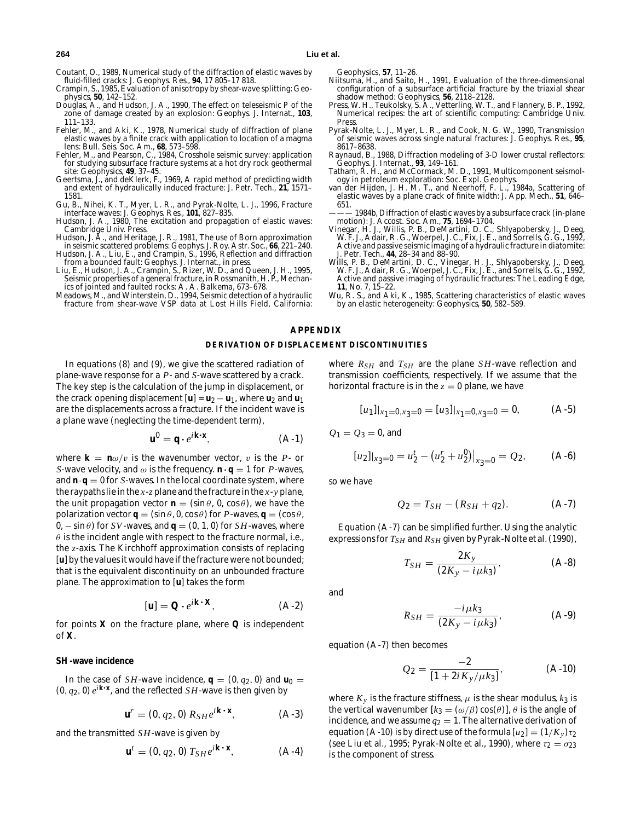Coutant, O., 1989, Numerical study of the diffraction of elastic waves by fluid-filled cracks: J. Geophys. Res., **94**, 17 805–17 818.

- Crampin, S., 1985, Evaluation of anisotropy by shear-wave splitting: Geophysics, **50**, 142–152.
- Douglas, A., and Hudson, J. A., 1990, The effect on teleseismic *P* of the zone of damage created by an explosion: Geophys. J. Internat., **103**, 111–133.
- Fehler, M., and Aki, K., 1978, Numerical study of diffraction of plane elastic waves by a finite crack with application to location of a magma lens: Bull. Seis. Soc. Am., **68**, 573–598.
- Fehler, M., and Pearson, C., 1984, Crosshole seismic survey: application for studying subsurface fracture systems at a hot dry rock geothermal site: Geophysics, **49**, 37–45.
- Geertsma, J., and deKlerk, F., 1969, A rapid method of predicting width and extent of hydraulically induced fracture: J. Petr. Tech., **21**, 1571– 1581.
- Gu, B., Nihei, K. T., Myer, L. R., and Pyrak-Nolte, L. J., 1996, Fracture interface waves: J. Geophys. Res., **101**, 827–835.
- Hudson, J. A., 1980, The excitation and propagation of elastic waves: Cambridge Univ. Press.
- Hudson, J. A., and Heritage, J. R., 1981, The use of Born approximation in seismic scattered problems: Geophys. J. Roy. Astr. Soc., **66**, 221–240.
- Hudson, J. A., Liu, E., and Crampin, S., 1996, Reflection and diffraction from a bounded fault: Geophys. J. Internat., in press. Liu, E., Hudson, J. A., Crampin, S., Rizer, W. D., and Queen, J. H., 1995,
- Seismic properties of a general fracture, *in* Rossmanith, H. P., Mechanics of jointed and faulted rocks: A. A. Balkema, 673–678.
- Meadows, M., and Winterstein, D., 1994, Seismic detection of a hydraulic fracture from shear-wave VSP data at Lost Hills Field, California:

- Geophysics, **57**, 11–26. Niitsuma, H., and Saito, H., 1991, Evaluation of the three-dimensional configuration of a subsurface artificial fracture by the triaxial shear
- shadow method: Geophysics, **56**, 2118–2128. Press, W. H., Teukolsky, S. A., Vetterling, W. T., and Flannery, B. P., 1992, Numerical recipes: the art of scientific computing: Cambridge Univ. Press.
- Pyrak-Nolte, L. J., Myer, L. R., and Cook, N. G. W., 1990, Transmission of seismic waves across single natural fractures: J. Geophys. Res., **95**, 8617–8638.
- Raynaud, B., 1988, Diffraction modeling of 3-D lower crustal reflectors: Geophys. J. Internat., **93**, 149–161.
- Tatham, R. H., and McCormack, M. D., 1991, Multicomponent seismol-
- ogy in petroleum exploration: Soc. Expl. Geophys. van der Hijden, J. H. M. T., and Neerhoff, F. L., 1984a, Scattering of elastic waves by a plane crack of finite width: J. App. Mech., **51**, 646– 651.
- 1984b, Diffraction of elastic waves by a subsurface crack (in-plane motion): J. Accost. Soc. Am., **75**, 1694–1704.
- Vinegar, H. J., Willis, P. B., DeMartini, D. C., Shlyapobersky, J., Deeg, W. F. J., Adair, R. G., Woerpel, J. C., Fix, J. E., and Sorrells, G. G., 1992, Active and passive seismic imaging of a hydraulic fracture in diatomite: J. Petr. Tech., **44**, 28–34 and 88–90.
- Wills, P. B., DeMartini, D. C., Vinegar, H. J., Shlyapobersky, J., Deeg, W. F. J., Adair, R. G., Woerpel, J. C., Fix, J. E., and Sorrells, G. G., 1992, Active and passive imaging of hydraulic fractures: The Leading Edge, **11**, No. 7, 15–22.
- Wu, R. S., and Aki, K., 1985, Scattering characteristics of elastic waves by an elastic heterogeneity: Geophysics, **50**, 582–589.

# **APPENDIX**

#### **DERIVATION OF DISPLACEMENT DISCONTINUITIES**

In equations (8) and (9), we give the scattered radiation of plane-wave response for a *P*- and *S*-wave scattered by a crack. The key step is the calculation of the jump in displacement, or the crack opening displacement  $[\mathbf{u}] = \mathbf{u}_2 - \mathbf{u}_1$ , where  $\mathbf{u}_2$  and  $\mathbf{u}_1$ are the displacements across a fracture. If the incident wave is a plane wave (neglecting the time-dependent term),

$$
\mathbf{u}^0 = \mathbf{q} \cdot e^{i\mathbf{k} \cdot \mathbf{x}},\tag{A-1}
$$

where  $\mathbf{k} = \mathbf{n}\omega/v$  is the wavenumber vector, v is the *P*- or *S*-wave velocity, and  $\omega$  is the frequency.  $\mathbf{n} \cdot \mathbf{q} = 1$  for *P*-waves, and  $\mathbf{n} \cdot \mathbf{q} = 0$  for *S*-waves. In the local coordinate system, where the raypaths lie in the *x*-*z* plane and the fracture in the *x*-*y* plane, the unit propagation vector  $\mathbf{n} = (\sin \theta, 0, \cos \theta)$ , we have the polarization vector **q** =  $(\sin \theta, 0, \cos \theta)$  for *P*-waves, **q** =  $(\cos \theta, \sin \theta)$  $0, -\sin\theta$  for *SV*-waves, and  $\mathbf{q} = (0, 1, 0)$  for *SH*-waves, where  $\theta$  is the incident angle with respect to the fracture normal, i.e., the *z*-axis. The Kirchhoff approximation consists of replacing [**u**] by the values it would have if the fracture were not bounded; that is the equivalent discontinuity on an unbounded fracture plane. The approximation to [**u**] takes the form

$$
[\mathbf{u}] = \mathbf{Q} \cdot e^{i\mathbf{k} \cdot \mathbf{X}},\tag{A-2}
$$

for points **X** on the fracture plane, where **Q** is independent of **X**.

# *SH***-wave incidence**

In the case of *SH*-wave incidence,  $\mathbf{q} = (0, q_2, 0)$  and  $\mathbf{u}_0 =$ (0,  $q_2$ , 0)  $e^{i\mathbf{k} \cdot \mathbf{x}}$ , and the reflected *SH*-wave is then given by

$$
\mathbf{u}^r = (0, q_2, 0) R_{SH} e^{i\mathbf{k} \cdot \mathbf{x}}, \qquad (A-3)
$$

and the transmitted *SH*-wave is given by

$$
\mathbf{u}^{t} = (0, q_2, 0) T_{SH} e^{i\mathbf{k} \cdot \mathbf{x}}, \qquad (A-4)
$$

where  $R_{SH}$  and  $T_{SH}$  are the plane *SH*-wave reflection and transmission coefficients, respectively. If we assume that the horizontal fracture is in the  $z = 0$  plane, we have

$$
[u1]|x1=0,x3=0 = [u3]|x1=0,x3=0 = 0,
$$
 (A-5)

 $Q_1 = Q_3 = 0$ , and

$$
[u_2]|_{x_3=0} = u_2^t - (u_2^r + u_2^0)|_{x_3=0} = Q_2, \qquad (A-6)
$$

so we have

$$
Q_2 = T_{SH} - (R_{SH} + q_2). \tag{A-7}
$$

Equation (A-7) can be simplified further. Using the analytic expressions for  $T_{SH}$  and  $R_{SH}$  given by Pyrak-Nolte et al. (1990),

$$
T_{SH} = \frac{2K_y}{(2K_y - i\mu k_3)},
$$
 (A-8)

and

$$
R_{SH} = \frac{-i\mu k_3}{(2K_y - i\mu k_3)},
$$
 (A-9)

equation (A-7) then becomes

$$
Q_2 = \frac{-2}{[1 + 2iK_y/\mu k_3]},
$$
 (A-10)

where  $K_y$  is the fracture stiffness,  $\mu$  is the shear modulus,  $k_3$  is the vertical wavenumber  $[k_3 = (\omega/\beta) \cos(\theta)]$ ,  $\theta$  is the angle of incidence, and we assume  $q_2 = 1$ . The alternative derivation of equation (A-10) is by direct use of the formula  $[u_2] = (1/K_y)\tau_2$ (see Liu et al., 1995; Pyrak-Nolte et al., 1990), where  $\tau_2 = \sigma_{23}$ is the component of stress.